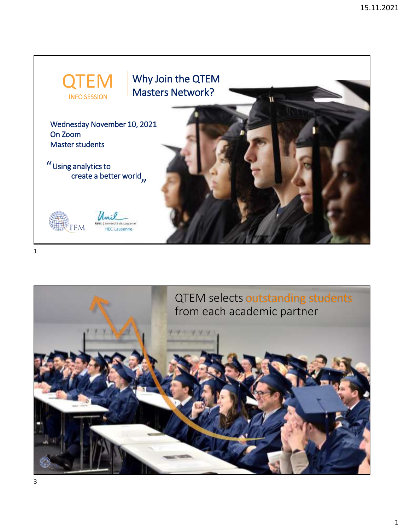



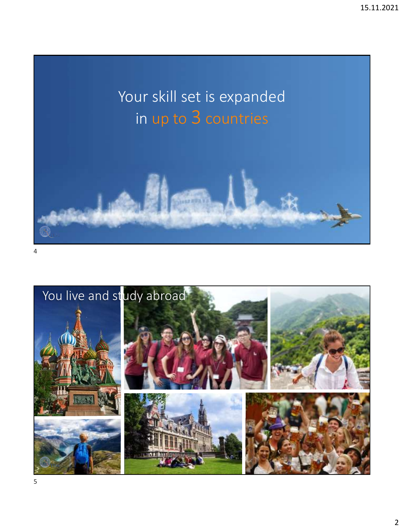# Your skill set is expanded in up to 3 countries



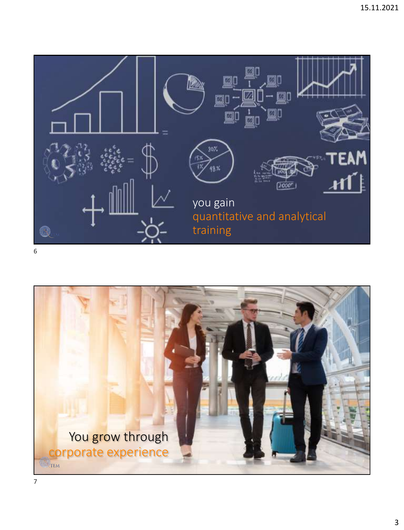

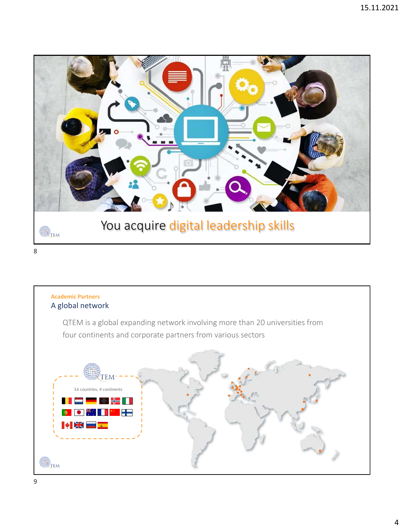

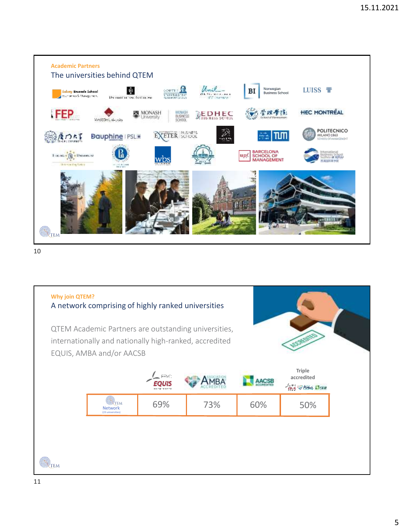

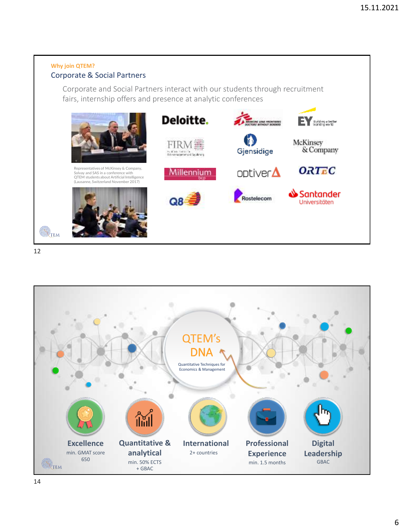## **Why join QTEM?** Corporate & Social Partners

Corporate and Social Partners interact with our students through recruitment fairs, internship offers and presence at analytic conferences



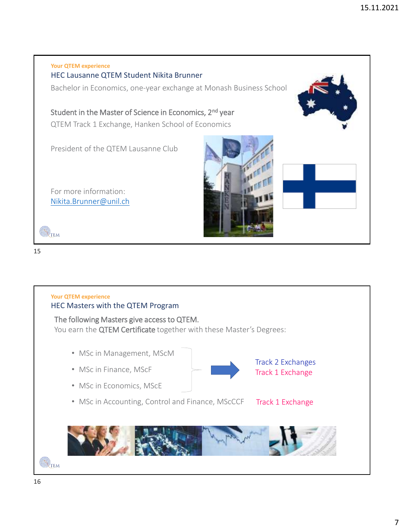



**Your QTEM experience**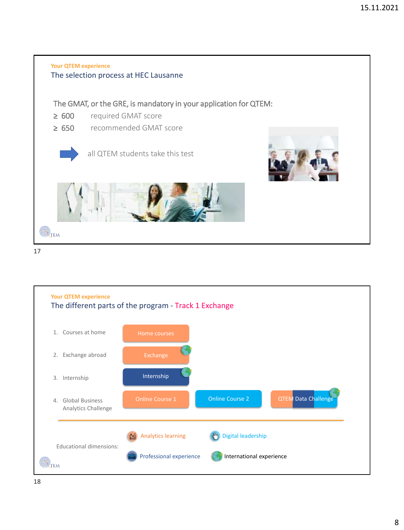

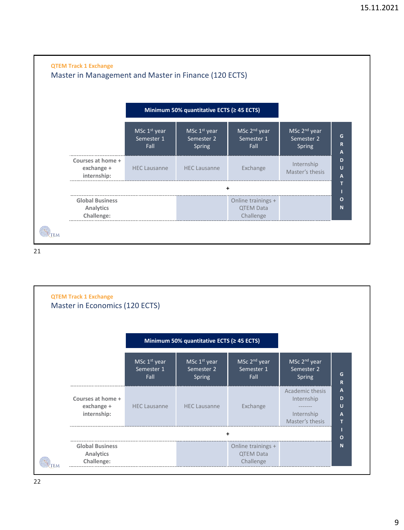

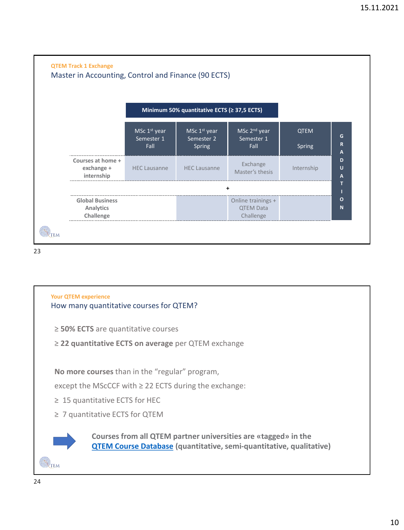

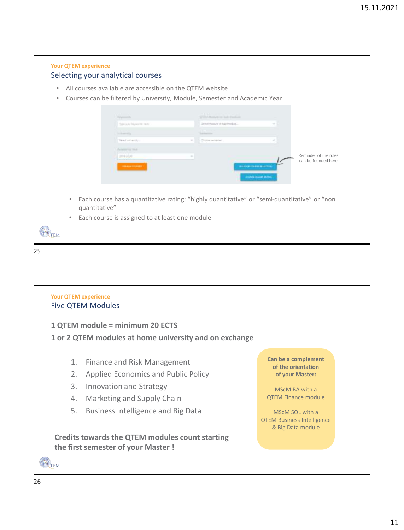## **Your QTEM experience** Selecting your analytical courses • All courses available are accessible on the QTEM website • Courses can be filtered by University, Module, Semester and Academic Year glassicance and real-**Ford** Secretary in the reside. Type star haywords here hammer and Sent attention - Chang simpler Reminder of the rules 2010/2020  $\sim$ can be founded here • Each course has a quantitative rating: "highly quantitative" or "semi-quantitative" or "non quantitative" Each course is assigned to at least one module TEM 25

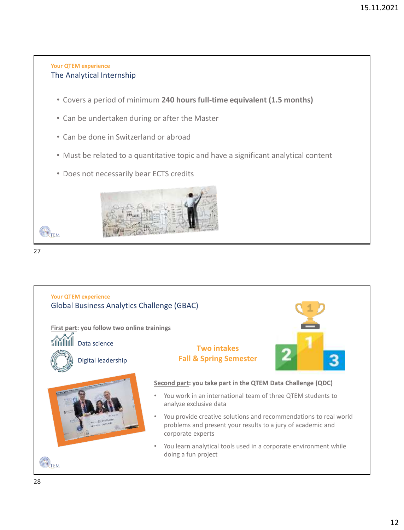## **Your QTEM experience** The Analytical Internship

- Covers a period of minimum **240 hours full-time equivalent (1.5 months)**
- Can be undertaken during or after the Master
- Can be done in Switzerland or abroad
- Must be related to a quantitative topic and have a significant analytical content
- Does not necessarily bear ECTS credits





TEM

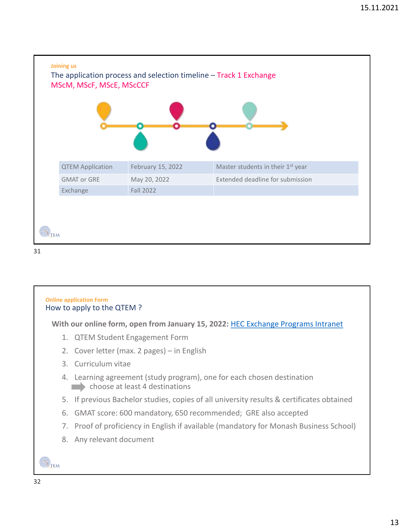



**With our online form, open from January 15, 2022:** [HEC Exchange Programs Intranet](https://www.unil.ch/cms/login?doLogin=true&rememberme=true&redirect=https://www.unil.ch/hec/en/home/menuguid/etudiants/programmes-dechange.html)

- 1. QTEM Student Engagement Form
- 2. Cover letter (max. 2 pages) in English
- 3. Curriculum vitae
- 4. Learning agreement (study program), one for each chosen destination choose at least 4 destinations
- 5. If previous Bachelor studies, copies of all university results & certificates obtained
- 6. GMAT score: 600 mandatory, 650 recommended; GRE also accepted
- 7. Proof of proficiency in English if available (mandatory for Monash Business School)
- 8. Any relevant document

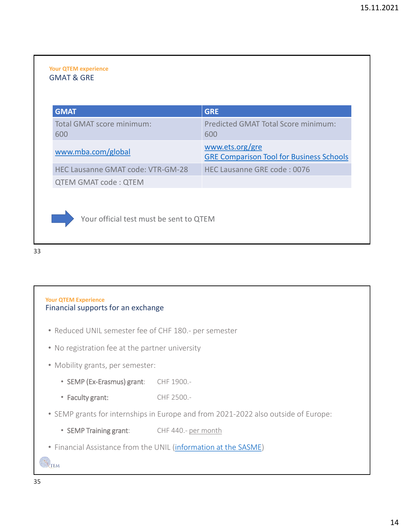#### **Your QTEM experience** GMAT & GRE

| <b>GMAT</b>                              | <b>GRE</b>                                                         |
|------------------------------------------|--------------------------------------------------------------------|
| Total GMAT score minimum:<br>600         | Predicted GMAT Total Score minimum:<br>600                         |
| www.mba.com/global                       | www.ets.org/gre<br><b>GRE Comparison Tool for Business Schools</b> |
| <b>HEC Lausanne GMAT code: VTR-GM-28</b> | HEC Lausanne GRE code: 0076                                        |
| <b>QTEM GMAT code: QTEM</b>              |                                                                    |



Your official test must be sent to QTEM

### 33

## **Your QTEM Experience** Financial supports for an exchange

- Reduced UNIL semester fee of CHF 180.- per semester
- No registration fee at the partner university
- Mobility grants, per semester:
	- SEMP (Ex-Erasmus) grant: CHF 1900.-
	- Faculty grant: CHF 2500.-
- SEMP grants for internships in Europe and from 2021-2022 also outside of Europe:
	- SEMP Training grant: CHF 440.- per month
- Financial Assistance from the UNIL [\(information at the SASME](https://www.unil.ch/international/en/home/menuinst/unil-students/informations-pratiques.html))

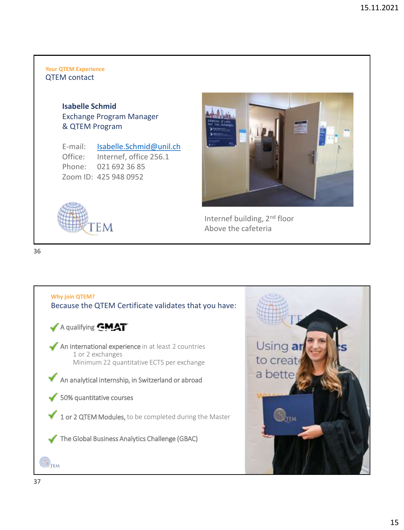#### **Your QTEM Experience** QTEM contact

**Isabelle Schmid** Exchange Program Manager & QTEM Program

EM

E-mail: [Isabelle.Schmid@unil.ch](mailto:Isabelle.Schmid@unil.ch) Office: Internef, office 256.1 Phone: 021 692 36 85 Zoom ID: 425 948 0952



Internef building, 2nd floor Above the cafeteria